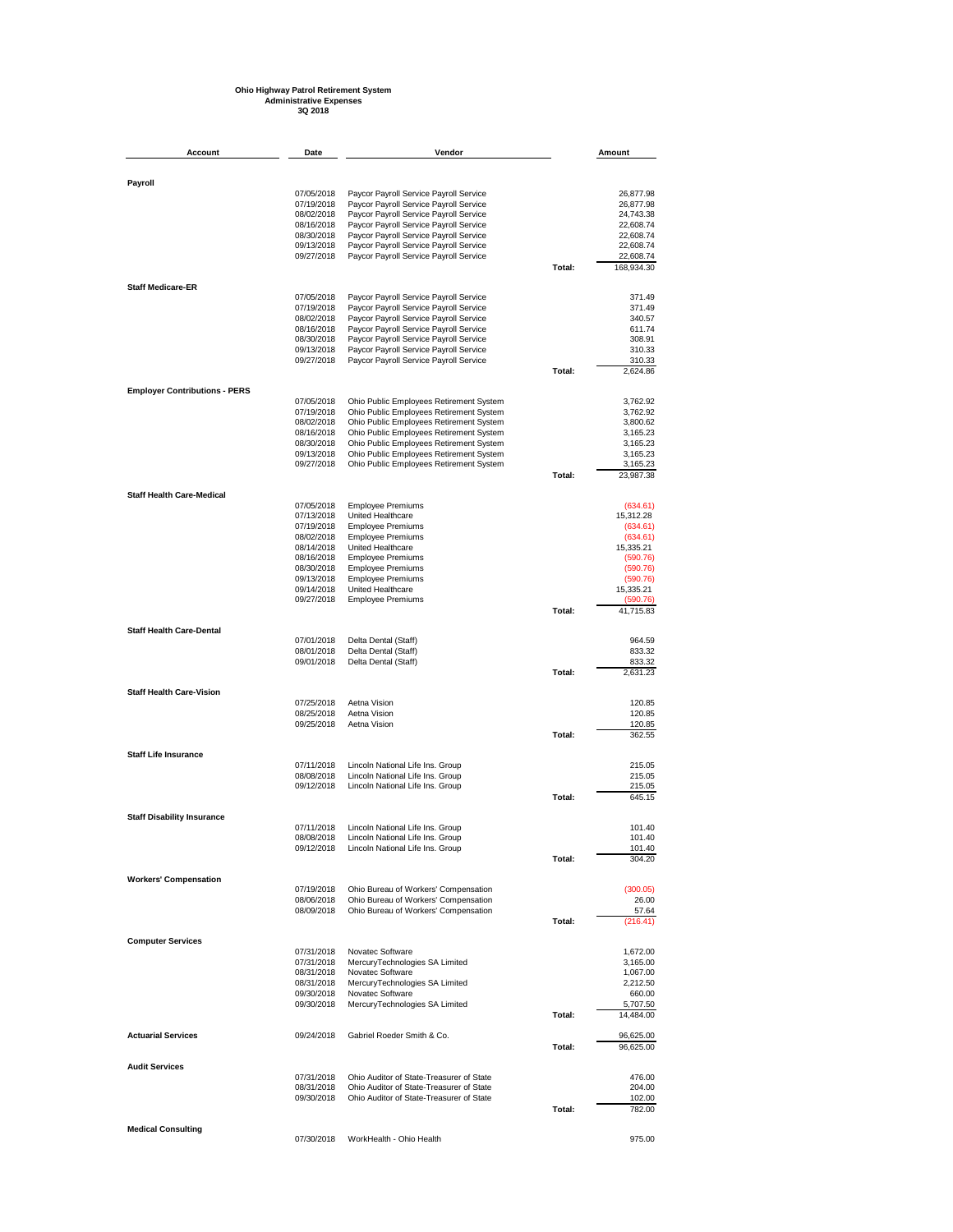## **Ohio Highway Patrol Retirement System Administrative Expenses 3Q 2018**

| Account                              | Date                     | Vendor                                                                             |        | Amount                 |
|--------------------------------------|--------------------------|------------------------------------------------------------------------------------|--------|------------------------|
|                                      |                          |                                                                                    |        |                        |
| Payroll                              |                          |                                                                                    |        |                        |
|                                      | 07/05/2018               | Paycor Payroll Service Payroll Service                                             |        | 26,877.98              |
|                                      | 07/19/2018<br>08/02/2018 | Paycor Payroll Service Payroll Service                                             |        | 26,877.98              |
|                                      | 08/16/2018               | Paycor Payroll Service Payroll Service<br>Paycor Payroll Service Payroll Service   |        | 24,743.38<br>22,608.74 |
|                                      | 08/30/2018               | Paycor Payroll Service Payroll Service                                             |        | 22,608.74              |
|                                      | 09/13/2018               | Paycor Payroll Service Payroll Service                                             |        | 22,608.74              |
|                                      | 09/27/2018               | Paycor Payroll Service Payroll Service                                             |        | 22,608.74              |
|                                      |                          |                                                                                    | Total: | 168,934.30             |
| <b>Staff Medicare-ER</b>             | 07/05/2018               | Paycor Payroll Service Payroll Service                                             |        | 371.49                 |
|                                      | 07/19/2018               | Paycor Payroll Service Payroll Service                                             |        | 371.49                 |
|                                      | 08/02/2018               | Paycor Payroll Service Payroll Service                                             |        | 340.57                 |
|                                      | 08/16/2018               | Paycor Payroll Service Payroll Service                                             |        | 611.74                 |
|                                      | 08/30/2018               | Paycor Payroll Service Payroll Service                                             |        | 308.91                 |
|                                      | 09/13/2018               | Paycor Payroll Service Payroll Service                                             |        | 310.33                 |
|                                      | 09/27/2018               | Paycor Payroll Service Payroll Service                                             | Total: | 310.33<br>2,624.86     |
|                                      |                          |                                                                                    |        |                        |
| <b>Employer Contributions - PERS</b> | 07/05/2018               | Ohio Public Employees Retirement System                                            |        | 3,762.92               |
|                                      | 07/19/2018               | Ohio Public Employees Retirement System                                            |        | 3,762.92               |
|                                      | 08/02/2018               | Ohio Public Employees Retirement System                                            |        | 3,800.62               |
|                                      | 08/16/2018               | Ohio Public Employees Retirement System                                            |        | 3,165.23               |
|                                      | 08/30/2018               | Ohio Public Employees Retirement System                                            |        | 3,165.23               |
|                                      | 09/13/2018<br>09/27/2018 | Ohio Public Employees Retirement System<br>Ohio Public Employees Retirement System |        | 3,165.23<br>3,165.23   |
|                                      |                          |                                                                                    | Total: | 23,987.38              |
| <b>Staff Health Care-Medical</b>     |                          |                                                                                    |        |                        |
|                                      | 07/05/2018               | <b>Employee Premiums</b>                                                           |        | (634.61)               |
|                                      | 07/13/2018               | United Healthcare                                                                  |        | 15,312.28              |
|                                      | 07/19/2018               | <b>Employee Premiums</b>                                                           |        | (634.61)               |
|                                      | 08/02/2018<br>08/14/2018 | <b>Employee Premiums</b><br>United Healthcare                                      |        | (634.61)<br>15,335.21  |
|                                      | 08/16/2018               | <b>Employee Premiums</b>                                                           |        | (590.76)               |
|                                      | 08/30/2018               | <b>Employee Premiums</b>                                                           |        | (590.76)               |
|                                      | 09/13/2018               | <b>Employee Premiums</b>                                                           |        | (590.76)               |
|                                      | 09/14/2018               | United Healthcare                                                                  |        | 15,335.21              |
|                                      | 09/27/2018               | <b>Employee Premiums</b>                                                           | Total: | (590.76)<br>41,715.83  |
|                                      |                          |                                                                                    |        |                        |
| <b>Staff Health Care-Dental</b>      | 07/01/2018               | Delta Dental (Staff)                                                               |        | 964.59                 |
|                                      | 08/01/2018               | Delta Dental (Staff)                                                               |        | 833.32                 |
|                                      | 09/01/2018               | Delta Dental (Staff)                                                               |        | 833.32                 |
|                                      |                          |                                                                                    | Total: | 2,631.23               |
| <b>Staff Health Care-Vision</b>      |                          |                                                                                    |        |                        |
|                                      | 07/25/2018               | Aetna Vision                                                                       |        | 120.85                 |
|                                      | 08/25/2018               | Aetna Vision                                                                       |        | 120.85                 |
|                                      | 09/25/2018               | Aetna Vision                                                                       | Total: | 120.85<br>362.55       |
|                                      |                          |                                                                                    |        |                        |
| <b>Staff Life Insurance</b>          | 07/11/2018               | Lincoln National Life Ins. Group                                                   |        | 215.05                 |
|                                      | 08/08/2018               | Lincoln National Life Ins. Group                                                   |        | 215.05                 |
|                                      | 09/12/2018               | Lincoln National Life Ins. Group                                                   |        | 215.05                 |
|                                      |                          |                                                                                    | Total: | 645.15                 |
| <b>Staff Disability Insurance</b>    |                          |                                                                                    |        |                        |
|                                      | 07/11/2018<br>08/08/2018 | Lincoln National Life Ins. Group                                                   |        | 101.40                 |
|                                      | 09/12/2018               | Lincoln National Life Ins. Group<br>Lincoln National Life Ins. Group               |        | 101.40<br>101.40       |
|                                      |                          |                                                                                    | Total: | 304.20                 |
| <b>Workers' Compensation</b>         |                          |                                                                                    |        |                        |
|                                      | 07/19/2018               | Ohio Bureau of Workers' Compensation                                               |        | (300.05)               |
|                                      | 08/06/2018               | Ohio Bureau of Workers' Compensation                                               |        | 26.00                  |
|                                      | 08/09/2018               | Ohio Bureau of Workers' Compensation                                               |        | 57.64                  |
|                                      |                          |                                                                                    | Total: | (216.41)               |
| <b>Computer Services</b>             |                          |                                                                                    |        |                        |
|                                      | 07/31/2018               | Novatec Software                                                                   |        | 1,672.00               |
|                                      | 07/31/2018<br>08/31/2018 | MercuryTechnologies SA Limited<br>Novatec Software                                 |        | 3,165.00<br>1,067.00   |
|                                      | 08/31/2018               | MercuryTechnologies SA Limited                                                     |        | 2,212.50               |
|                                      | 09/30/2018               | Novatec Software                                                                   |        | 660.00                 |
|                                      | 09/30/2018               | MercuryTechnologies SA Limited                                                     |        | 5,707.50               |
|                                      |                          |                                                                                    | Total: | 14,484.00              |
| <b>Actuarial Services</b>            | 09/24/2018               | Gabriel Roeder Smith & Co.                                                         |        | 96,625.00              |
|                                      |                          |                                                                                    | Total: | 96,625.00              |
| <b>Audit Services</b>                | 07/31/2018               | Ohio Auditor of State-Treasurer of State                                           |        | 476.00                 |
|                                      | 08/31/2018               | Ohio Auditor of State-Treasurer of State                                           |        | 204.00                 |
|                                      | 09/30/2018               | Ohio Auditor of State-Treasurer of State                                           |        | 102.00                 |
|                                      |                          |                                                                                    | Total: | 782.00                 |
| <b>Medical Consulting</b>            |                          |                                                                                    |        |                        |
|                                      |                          |                                                                                    |        |                        |

07/30/2018 WorkHealth - Ohio Health 975.00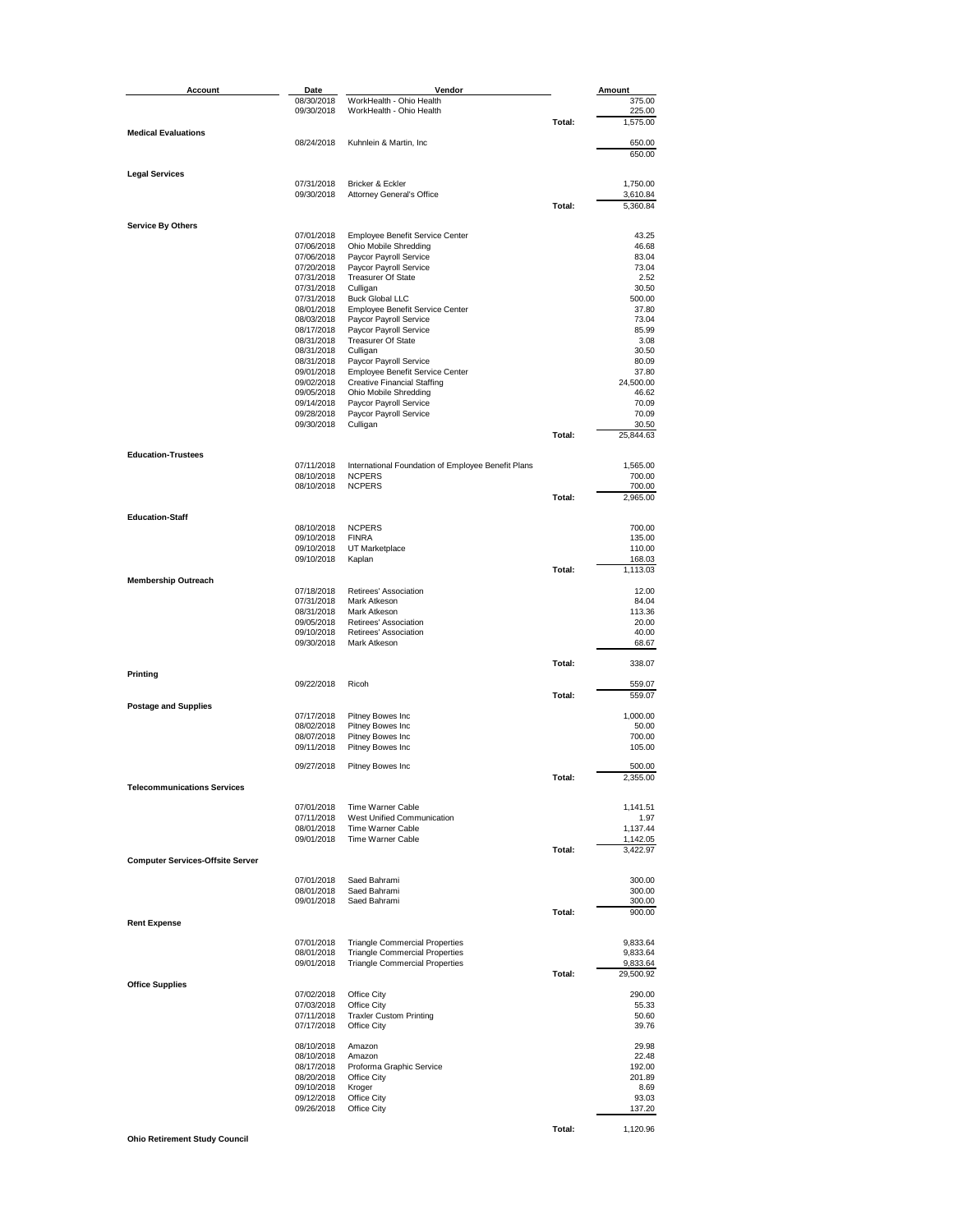| Account                                 | Date                     | Vendor                                                           |        | Amount             |
|-----------------------------------------|--------------------------|------------------------------------------------------------------|--------|--------------------|
|                                         | 08/30/2018               | WorkHealth - Ohio Health                                         |        | 375.00             |
|                                         | 09/30/2018               | WorkHealth - Ohio Health                                         | Total: | 225.00             |
| <b>Medical Evaluations</b>              |                          |                                                                  |        | 1,575.00           |
|                                         | 08/24/2018               | Kuhnlein & Martin, Inc.                                          |        | 650.00             |
|                                         |                          |                                                                  |        | 650.00             |
| <b>Legal Services</b>                   |                          |                                                                  |        |                    |
|                                         | 07/31/2018               | Bricker & Eckler                                                 |        | 1,750.00           |
|                                         | 09/30/2018               | <b>Attorney General's Office</b>                                 |        | 3,610.84           |
|                                         |                          |                                                                  | Total: | 5,360.84           |
| <b>Service By Others</b>                |                          |                                                                  |        |                    |
|                                         | 07/01/2018               | <b>Employee Benefit Service Center</b>                           |        | 43.25              |
|                                         | 07/06/2018               | Ohio Mobile Shredding                                            |        | 46.68              |
|                                         | 07/06/2018<br>07/20/2018 | Paycor Payroll Service<br>Paycor Payroll Service                 |        | 83.04<br>73.04     |
|                                         | 07/31/2018               | <b>Treasurer Of State</b>                                        |        | 2.52               |
|                                         | 07/31/2018               | Culligan                                                         |        | 30.50              |
|                                         | 07/31/2018               | <b>Buck Global LLC</b>                                           |        | 500.00             |
|                                         | 08/01/2018<br>08/03/2018 | Employee Benefit Service Center<br>Paycor Payroll Service        |        | 37.80<br>73.04     |
|                                         | 08/17/2018               | Paycor Payroll Service                                           |        | 85.99              |
|                                         | 08/31/2018               | <b>Treasurer Of State</b>                                        |        | 3.08               |
|                                         | 08/31/2018               | Culligan                                                         |        | 30.50              |
|                                         | 08/31/2018<br>09/01/2018 | Paycor Payroll Service<br><b>Employee Benefit Service Center</b> |        | 80.09<br>37.80     |
|                                         | 09/02/2018               | <b>Creative Financial Staffing</b>                               |        | 24,500.00          |
|                                         | 09/05/2018               | Ohio Mobile Shredding                                            |        | 46.62              |
|                                         | 09/14/2018<br>09/28/2018 | Paycor Payroll Service<br>Paycor Payroll Service                 |        | 70.09<br>70.09     |
|                                         | 09/30/2018               | Culligan                                                         |        | 30.50              |
|                                         |                          |                                                                  | Total: | 25,844.63          |
|                                         |                          |                                                                  |        |                    |
| <b>Education-Trustees</b>               | 07/11/2018               | International Foundation of Employee Benefit Plans               |        | 1,565.00           |
|                                         | 08/10/2018               | <b>NCPERS</b>                                                    |        | 700.00             |
|                                         | 08/10/2018               | <b>NCPERS</b>                                                    |        | 700.00             |
|                                         |                          |                                                                  | Total: | 2,965.00           |
| <b>Education-Staff</b>                  |                          |                                                                  |        |                    |
|                                         | 08/10/2018               | <b>NCPERS</b>                                                    |        | 700.00             |
|                                         | 09/10/2018<br>09/10/2018 | <b>FINRA</b><br>UT Marketplace                                   |        | 135.00<br>110.00   |
|                                         | 09/10/2018               | Kaplan                                                           |        | 168.03             |
|                                         |                          |                                                                  | Total: | 1,113.03           |
| <b>Membership Outreach</b>              |                          |                                                                  |        |                    |
|                                         | 07/18/2018<br>07/31/2018 | Retirees' Association<br>Mark Atkeson                            |        | 12.00<br>84.04     |
|                                         | 08/31/2018               | Mark Atkeson                                                     |        | 113.36             |
|                                         | 09/05/2018               | Retirees' Association                                            |        | 20.00              |
|                                         | 09/10/2018               | Retirees' Association                                            |        | 40.00              |
|                                         | 09/30/2018               | Mark Atkeson                                                     |        | 68.67              |
|                                         |                          |                                                                  | Total: | 338.07             |
| Printing                                | 09/22/2018               | Ricoh                                                            |        | 559.07             |
|                                         |                          |                                                                  | Total: | 559.07             |
| <b>Postage and Supplies</b>             |                          |                                                                  |        |                    |
|                                         | 07/17/2018               | Pitney Bowes Inc<br>Pitney Bowes Inc                             |        | 1,000.00           |
|                                         | 08/02/2018<br>08/07/2018 | Pitney Bowes Inc                                                 |        | 50.00<br>700.00    |
|                                         | 09/11/2018               | Pitney Bowes Inc                                                 |        | 105.00             |
|                                         | 09/27/2018               |                                                                  |        |                    |
|                                         |                          | Pitney Bowes Inc                                                 | Total: | 500.00<br>2,355.00 |
| <b>Telecommunications Services</b>      |                          |                                                                  |        |                    |
|                                         |                          |                                                                  |        |                    |
|                                         | 07/01/2018<br>07/11/2018 | Time Warner Cable<br>West Unified Communication                  |        | 1,141.51<br>1.97   |
|                                         | 08/01/2018               | Time Warner Cable                                                |        | 1,137.44           |
|                                         | 09/01/2018               | Time Warner Cable                                                |        | 1,142.05           |
| <b>Computer Services-Offsite Server</b> |                          |                                                                  | Total: | 3,422.97           |
|                                         |                          |                                                                  |        |                    |
|                                         | 07/01/2018               | Saed Bahrami                                                     |        | 300.00             |
|                                         | 08/01/2018<br>09/01/2018 | Saed Bahrami<br>Saed Bahrami                                     |        | 300.00<br>300.00   |
|                                         |                          |                                                                  | Total: | 900.00             |
| <b>Rent Expense</b>                     |                          |                                                                  |        |                    |
|                                         | 07/01/2018               | <b>Triangle Commercial Properties</b>                            |        | 9,833.64           |
|                                         | 08/01/2018               | <b>Triangle Commercial Properties</b>                            |        | 9,833.64           |
|                                         | 09/01/2018               | <b>Triangle Commercial Properties</b>                            |        | 9,833.64           |
|                                         |                          |                                                                  | Total: | 29,500.92          |
| <b>Office Supplies</b>                  | 07/02/2018               | Office City                                                      |        | 290.00             |
|                                         | 07/03/2018               | Office City                                                      |        | 55.33              |
|                                         | 07/11/2018               | <b>Traxler Custom Printing</b>                                   |        | 50.60              |
|                                         | 07/17/2018               | Office City                                                      |        | 39.76              |
|                                         | 08/10/2018               | Amazon                                                           |        | 29.98              |
|                                         | 08/10/2018               | Amazon                                                           |        | 22.48              |
|                                         | 08/17/2018<br>08/20/2018 | Proforma Graphic Service<br>Office City                          |        | 192.00<br>201.89   |
|                                         | 09/10/2018               | Kroger                                                           |        | 8.69               |
|                                         | 09/12/2018               | Office City                                                      |        | 93.03              |
|                                         | 09/26/2018               | Office City                                                      |        | 137.20             |
|                                         |                          |                                                                  | Total: | 1,120.96           |
| <b>Ohio Retirement Study Council</b>    |                          |                                                                  |        |                    |

**Ohio Retirement Study Council**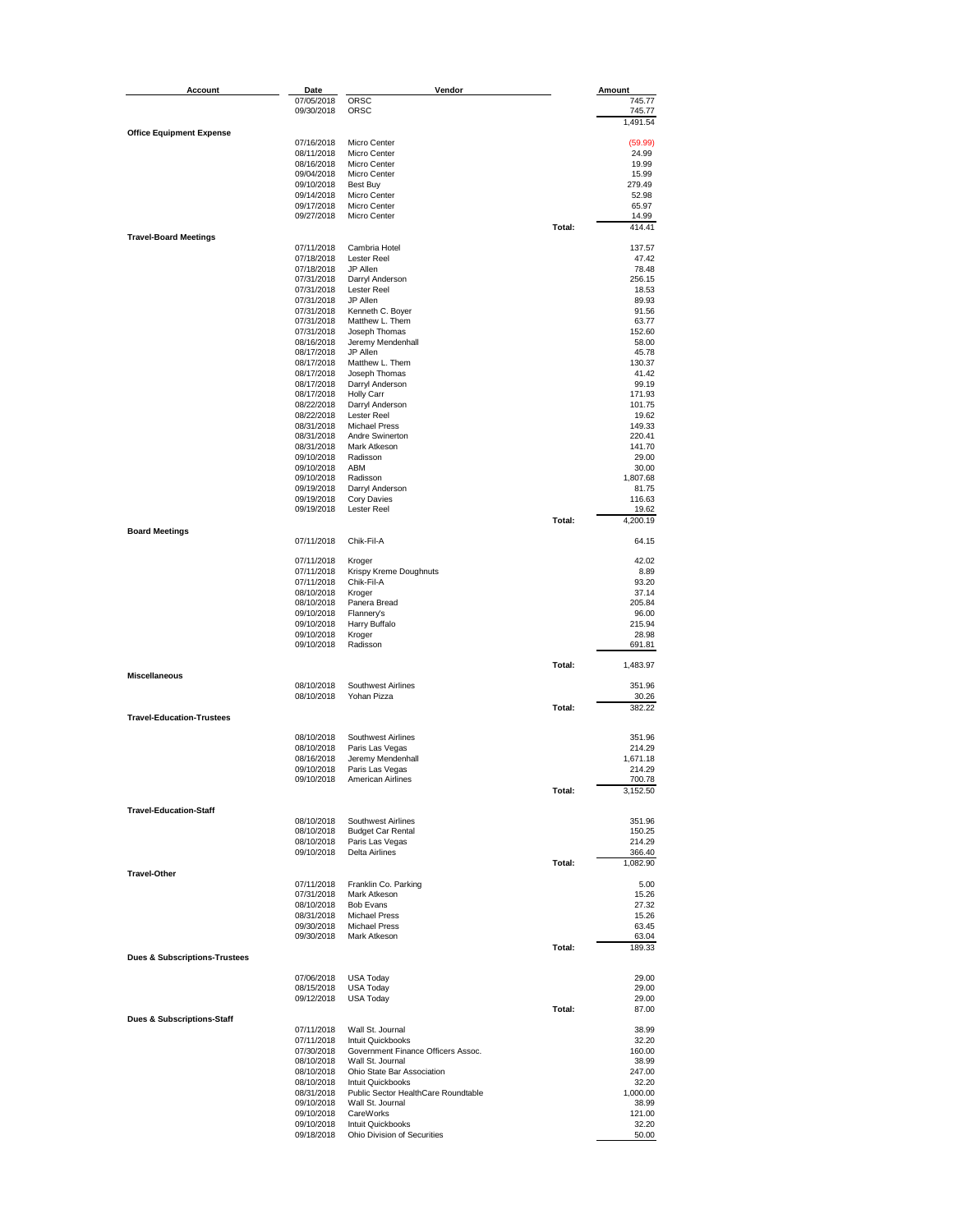| Account                                  | Date                     | Vendor                                                   |        | Amount             |
|------------------------------------------|--------------------------|----------------------------------------------------------|--------|--------------------|
|                                          | 07/05/2018               | ORSC                                                     |        | 745.77             |
|                                          | 09/30/2018               | ORSC                                                     |        | 745.77<br>1,491.54 |
| <b>Office Equipment Expense</b>          |                          |                                                          |        |                    |
|                                          | 07/16/2018               | Micro Center                                             |        | (59.99)            |
|                                          | 08/11/2018<br>08/16/2018 | Micro Center<br>Micro Center                             |        | 24.99<br>19.99     |
|                                          | 09/04/2018               | Micro Center                                             |        | 15.99              |
|                                          | 09/10/2018               | Best Buy                                                 |        | 279.49             |
|                                          | 09/14/2018               | Micro Center                                             |        | 52.98              |
|                                          | 09/17/2018<br>09/27/2018 | Micro Center<br>Micro Center                             |        | 65.97<br>14.99     |
|                                          |                          |                                                          | Total: | 414.41             |
| <b>Travel-Board Meetings</b>             |                          |                                                          |        |                    |
|                                          | 07/11/2018               | Cambria Hotel<br><b>Lester Reel</b>                      |        | 137.57             |
|                                          | 07/18/2018<br>07/18/2018 | JP Allen                                                 |        | 47.42<br>78.48     |
|                                          | 07/31/2018               | Darryl Anderson                                          |        | 256.15             |
|                                          | 07/31/2018               | <b>Lester Reel</b>                                       |        | 18.53              |
|                                          | 07/31/2018               | JP Allen                                                 |        | 89.93              |
|                                          | 07/31/2018<br>07/31/2018 | Kenneth C. Boyer<br>Matthew L. Them                      |        | 91.56<br>63.77     |
|                                          | 07/31/2018               | Joseph Thomas                                            |        | 152.60             |
|                                          | 08/16/2018               | Jeremy Mendenhall                                        |        | 58.00              |
|                                          | 08/17/2018               | JP Allen                                                 |        | 45.78              |
|                                          | 08/17/2018<br>08/17/2018 | Matthew L. Them<br>Joseph Thomas                         |        | 130.37<br>41.42    |
|                                          | 08/17/2018               | Darryl Anderson                                          |        | 99.19              |
|                                          | 08/17/2018               | <b>Holly Carr</b>                                        |        | 171.93             |
|                                          | 08/22/2018               | Darryl Anderson                                          |        | 101.75             |
|                                          | 08/22/2018               | Lester Reel                                              |        | 19.62              |
|                                          | 08/31/2018<br>08/31/2018 | <b>Michael Press</b><br>Andre Swinerton                  |        | 149.33<br>220.41   |
|                                          | 08/31/2018               | Mark Atkeson                                             |        | 141.70             |
|                                          | 09/10/2018               | Radisson                                                 |        | 29.00              |
|                                          | 09/10/2018               | ABM                                                      |        | 30.00              |
|                                          | 09/10/2018               | Radisson                                                 |        | 1,807.68           |
|                                          | 09/19/2018<br>09/19/2018 | Darryl Anderson<br>Cory Davies                           |        | 81.75<br>116.63    |
|                                          | 09/19/2018               | <b>Lester Reel</b>                                       |        | 19.62              |
|                                          |                          |                                                          | Total: | 4,200.19           |
| <b>Board Meetings</b>                    |                          |                                                          |        |                    |
|                                          | 07/11/2018               | Chik-Fil-A                                               |        | 64.15              |
|                                          | 07/11/2018               | Kroger                                                   |        | 42.02              |
|                                          | 07/11/2018               | Krispy Kreme Doughnuts                                   |        | 8.89               |
|                                          | 07/11/2018               | Chik-Fil-A                                               |        | 93.20              |
|                                          | 08/10/2018<br>08/10/2018 | Kroger<br>Panera Bread                                   |        | 37.14<br>205.84    |
|                                          | 09/10/2018               | Flannery's                                               |        | 96.00              |
|                                          | 09/10/2018               | Harry Buffalo                                            |        | 215.94             |
|                                          | 09/10/2018               | Kroger                                                   |        | 28.98              |
|                                          | 09/10/2018               | Radisson                                                 |        | 691.81             |
|                                          |                          |                                                          | Total: | 1,483.97           |
| <b>Miscellaneous</b>                     |                          |                                                          |        |                    |
|                                          | 08/10/2018               | Southwest Airlines                                       |        | 351.96             |
|                                          | 08/10/2018               | Yohan Pizza                                              | Total: | 30.26<br>382.22    |
| <b>Travel-Education-Trustees</b>         |                          |                                                          |        |                    |
|                                          |                          |                                                          |        |                    |
|                                          | 08/10/2018               | Southwest Airlines                                       |        | 351.96             |
|                                          | 08/10/2018               | Paris Las Vegas                                          |        | 214.29             |
|                                          | 08/16/2018<br>09/10/2018 | Jeremy Mendenhall<br>Paris Las Vegas                     |        | 1,671.18<br>214.29 |
|                                          | 09/10/2018               | American Airlines                                        |        | 700.78             |
|                                          |                          |                                                          | Total: | 3,152.50           |
| <b>Travel-Education-Staff</b>            |                          |                                                          |        |                    |
|                                          | 08/10/2018               | Southwest Airlines                                       |        | 351.96             |
|                                          | 08/10/2018               | <b>Budget Car Rental</b>                                 |        | 150.25             |
|                                          | 08/10/2018               | Paris Las Vegas                                          |        | 214.29             |
|                                          | 09/10/2018               | Delta Airlines                                           |        | 366.40<br>1,082.90 |
| <b>Travel-Other</b>                      |                          |                                                          | Total: |                    |
|                                          | 07/11/2018               | Franklin Co. Parking                                     |        | 5.00               |
|                                          | 07/31/2018               | Mark Atkeson                                             |        | 15.26              |
|                                          | 08/10/2018               | <b>Bob Evans</b>                                         |        | 27.32              |
|                                          | 08/31/2018<br>09/30/2018 | <b>Michael Press</b><br><b>Michael Press</b>             |        | 15.26<br>63.45     |
|                                          | 09/30/2018               | Mark Atkeson                                             |        | 63.04              |
|                                          |                          |                                                          | Total: | 189.33             |
| <b>Dues &amp; Subscriptions Trustees</b> |                          |                                                          |        |                    |
|                                          | 07/06/2018               | <b>USA Today</b>                                         |        | 29.00              |
|                                          | 08/15/2018               | <b>USA Today</b>                                         |        | 29.00              |
|                                          | 09/12/2018               | <b>USA Today</b>                                         |        | 29.00              |
|                                          |                          |                                                          | Total: | 87.00              |
| Dues & Subscriptions-Staff               | 07/11/2018               | Wall St. Journal                                         |        | 38.99              |
|                                          | 07/11/2018               | Intuit Quickbooks                                        |        | 32.20              |
|                                          | 07/30/2018               | Government Finance Officers Assoc.                       |        | 160.00             |
|                                          | 08/10/2018               | Wall St. Journal                                         |        | 38.99              |
|                                          | 08/10/2018               | Ohio State Bar Association                               |        | 247.00             |
|                                          | 08/10/2018<br>08/31/2018 | Intuit Quickbooks<br>Public Sector HealthCare Roundtable |        | 32.20<br>1,000.00  |
|                                          | 09/10/2018               | Wall St. Journal                                         |        | 38.99              |
|                                          |                          |                                                          |        |                    |
|                                          | 09/10/2018               | CareWorks                                                |        | 121.00             |
|                                          | 09/10/2018<br>09/18/2018 | Intuit Quickbooks<br>Ohio Division of Securities         |        | 32.20<br>50.00     |